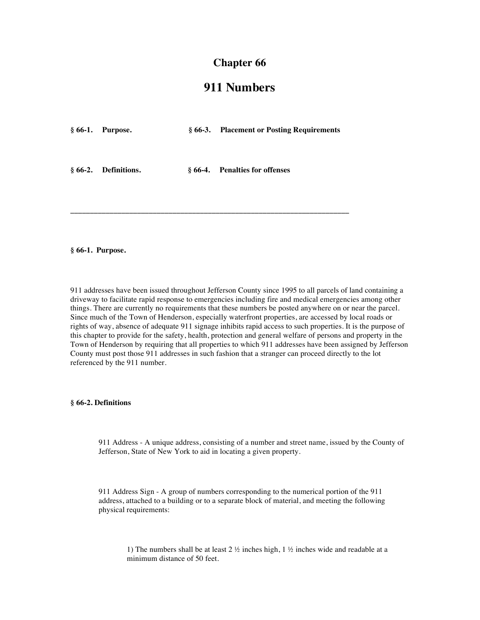## **Chapter 66**

# **911 Numbers**

| $§ 66-1.$ Purpose.   | § 66-3. Placement or Posting Requirements |
|----------------------|-------------------------------------------|
| § 66-2. Definitions. | § 66-4. Penalties for offenses            |

**\_\_\_\_\_\_\_\_\_\_\_\_\_\_\_\_\_\_\_\_\_\_\_\_\_\_\_\_\_\_\_\_\_\_\_\_\_\_\_\_\_\_\_\_\_\_\_\_\_\_\_\_\_\_\_\_\_\_\_\_\_\_\_\_\_\_\_\_\_\_\_**

#### **§ 66-1. Purpose.**

911 addresses have been issued throughout Jefferson County since 1995 to all parcels of land containing a driveway to facilitate rapid response to emergencies including fire and medical emergencies among other things. There are currently no requirements that these numbers be posted anywhere on or near the parcel. Since much of the Town of Henderson, especially waterfront properties, are accessed by local roads or rights of way, absence of adequate 911 signage inhibits rapid access to such properties. It is the purpose of this chapter to provide for the safety, health, protection and general welfare of persons and property in the Town of Henderson by requiring that all properties to which 911 addresses have been assigned by Jefferson County must post those 911 addresses in such fashion that a stranger can proceed directly to the lot referenced by the 911 number.

### **§ 66-2. Definitions**

911 Address - A unique address, consisting of a number and street name, issued by the County of Jefferson, State of New York to aid in locating a given property.

911 Address Sign - A group of numbers corresponding to the numerical portion of the 911 address, attached to a building or to a separate block of material, and meeting the following physical requirements:

1) The numbers shall be at least 2  $\frac{1}{2}$  inches high, 1  $\frac{1}{2}$  inches wide and readable at a minimum distance of 50 feet.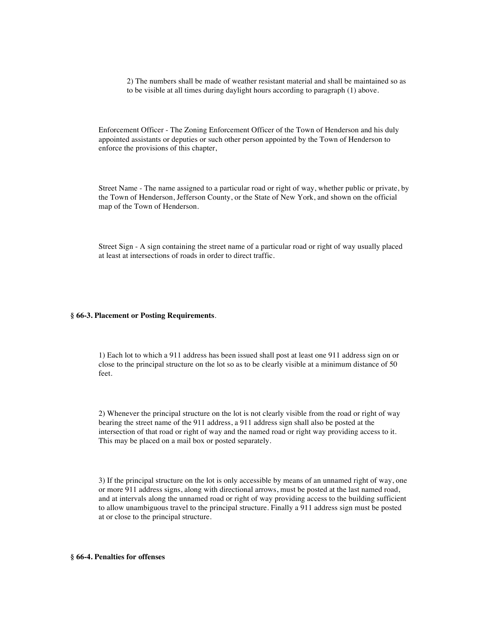2) The numbers shall be made of weather resistant material and shall be maintained so as to be visible at all times during daylight hours according to paragraph (1) above.

Enforcement Officer - The Zoning Enforcement Officer of the Town of Henderson and his duly appointed assistants or deputies or such other person appointed by the Town of Henderson to enforce the provisions of this chapter,

Street Name - The name assigned to a particular road or right of way, whether public or private, by the Town of Henderson, Jefferson County, or the State of New York, and shown on the official map of the Town of Henderson.

Street Sign - A sign containing the street name of a particular road or right of way usually placed at least at intersections of roads in order to direct traffic.

#### **§ 66-3. Placement or Posting Requirements**.

1) Each lot to which a 911 address has been issued shall post at least one 911 address sign on or close to the principal structure on the lot so as to be clearly visible at a minimum distance of 50 feet.

2) Whenever the principal structure on the lot is not clearly visible from the road or right of way bearing the street name of the 911 address, a 911 address sign shall also be posted at the intersection of that road or right of way and the named road or right way providing access to it. This may be placed on a mail box or posted separately.

3) If the principal structure on the lot is only accessible by means of an unnamed right of way, one or more 911 address signs, along with directional arrows, must be posted at the last named road, and at intervals along the unnamed road or right of way providing access to the building sufficient to allow unambiguous travel to the principal structure. Finally a 911 address sign must be posted at or close to the principal structure.